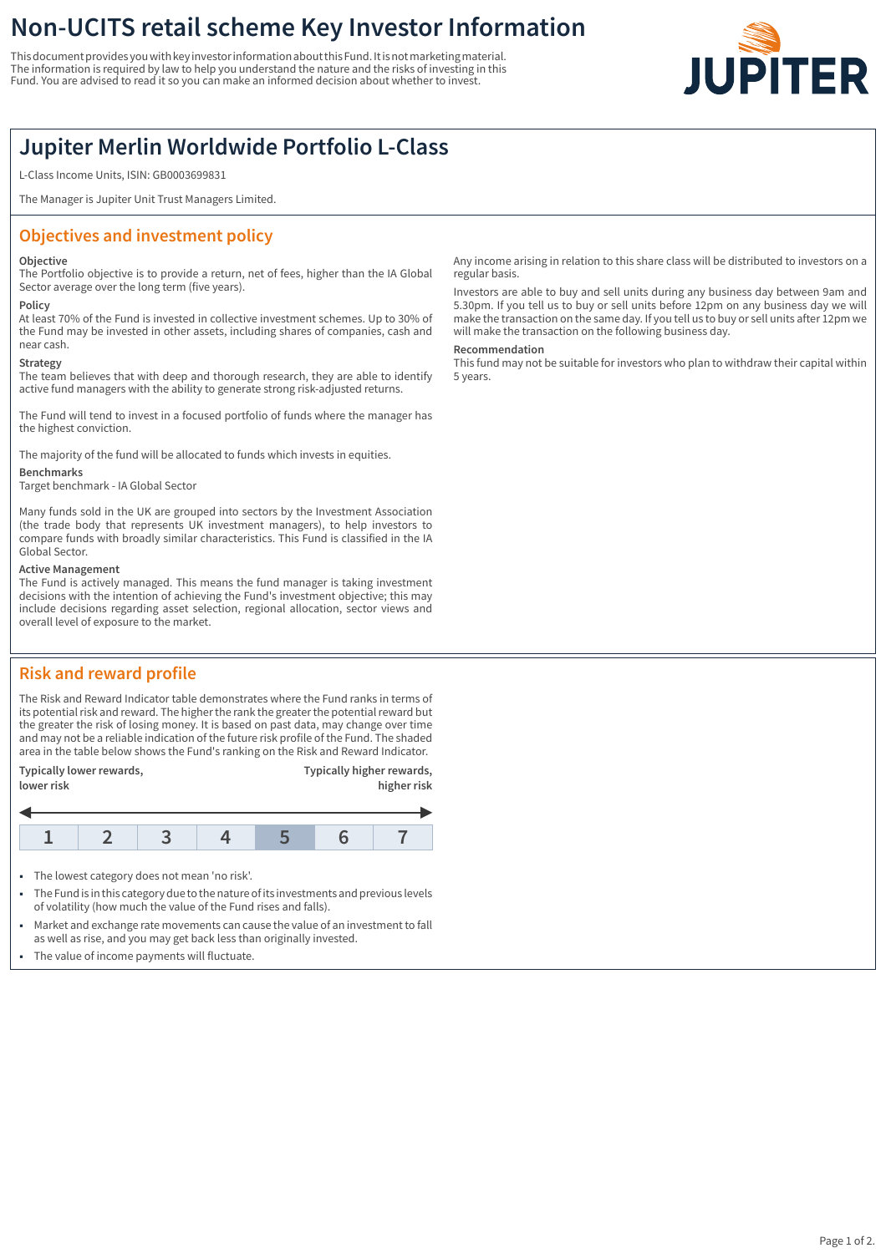# **Non-UCITS retail scheme Key Investor Information**

This document provides you with key investor information about this Fund. It is not marketing material. The information is required by law to help you understand the nature and the risks of investing in this Fund. You are advised to read it so you can make an informed decision about whether to invest.



# **Jupiter Merlin Worldwide Portfolio L-Class**

L-Class Income Units, ISIN: GB0003699831

The Manager is Jupiter Unit Trust Managers Limited.

# **Objectives and investment policy**

## **Objective**

The Portfolio objective is to provide a return, net of fees, higher than the IA Global Sector average over the long term (five years).

### **Policy**

At least 70% of the Fund is invested in collective investment schemes. Up to 30% of the Fund may be invested in other assets, including shares of companies, cash and near cash.

## **Strategy**

The team believes that with deep and thorough research, they are able to identify active fund managers with the ability to generate strong risk-adjusted returns.

The Fund will tend to invest in a focused portfolio of funds where the manager has the highest conviction.

The majority of the fund will be allocated to funds which invests in equities.

#### **Benchmarks**

Target benchmark - IA Global Sector

Many funds sold in the UK are grouped into sectors by the Investment Association (the trade body that represents UK investment managers), to help investors to compare funds with broadly similar characteristics. This Fund is classified in the IA Global Sector.

## **Active Management**

The Fund is actively managed. This means the fund manager is taking investment decisions with the intention of achieving the Fund's investment objective; this may include decisions regarding asset selection, regional allocation, sector views and overall level of exposure to the market.

## **Risk and reward profile**

The Risk and Reward Indicator table demonstrates where the Fund ranks in terms of its potential risk and reward. The higher the rank the greater the potential reward but the greater the risk of losing money. It is based on past data, may change over time and may not be a reliable indication of the future risk profile of the Fund. The shaded area in the table below shows the Fund's ranking on the Risk and Reward Indicator.

| Typically lower rewards,<br>lower risk |  |  |  | Typically higher rewards,<br>higher risk |  |  |
|----------------------------------------|--|--|--|------------------------------------------|--|--|
|                                        |  |  |  |                                          |  |  |
|                                        |  |  |  |                                          |  |  |

- The lowest category does not mean 'no risk'.
- 1 The Fund is in this category due to the nature of its investments and previous levels of volatility (how much the value of the Fund rises and falls).
- Market and exchange rate movements can cause the value of an investment to fall as well as rise, and you may get back less than originally invested.
- The value of income payments will fluctuate.

Any income arising in relation to this share class will be distributed to investors on a regular basis.

Investors are able to buy and sell units during any business day between 9am and 5.30pm. If you tell us to buy or sell units before 12pm on any business day we will make the transaction on the same day. If you tell us to buy or sell units after 12pm we will make the transaction on the following business day.

## **Recommendation**

This fund may not be suitable for investors who plan to withdraw their capital within 5 years.